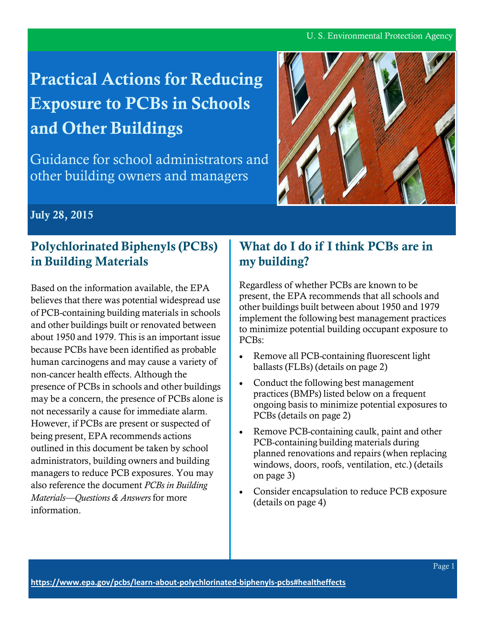#### U. S. Environmental Protection Agency

# **Practical Actions for Reducing Exposure to PCBs in Schools and Other Buildings**

Guidance for school administrators and other building owners and managers



**July 28, 2015**

## **Polychlorinated Biphenyls (PCBs) in Building Materials**

Based on the information available, the EPA believes that there was potential widespread use of PCB-containing building materials in schools and other buildings built or renovated between about 1950 and 1979. This is an important issue because PCBs have been identified as probable human carcinogens and may cause a variety of non-cancer health effects. Although the presence of PCBs in schools and other buildings may be a concern, the presence of PCBs alone is not necessarily a cause for immediate alarm. However, if PCBs are present or suspected of being present, EPA recommends actions outlined in this document be taken by school administrators, building owners and building managers to reduce PCB exposures. You may also reference the document *PCBs in Building Materials—Questions & Answers* for more information.

# **What do I do if I think PCBs are in my building?**

Regardless of whether PCBs are known to be present, the EPA recommends that all schools and other buildings built between about 1950 and 1979 implement the following best management practices to minimize potential building occupant exposure to PCBs:

- Remove all PCB-containing fluorescent light ballasts (FLBs) (details on page 2)
- Conduct the following best management practices (BMPs) listed below on a frequent ongoing basis to minimize potential exposures to PCBs (details on page 2)
- Remove PCB-containing caulk, paint and other PCB-containing building materials during planned renovations and repairs (when replacing windows, doors, roofs, ventilation, etc.) (details on page 3)
- Consider encapsulation to reduce PCB exposure (details on page 4)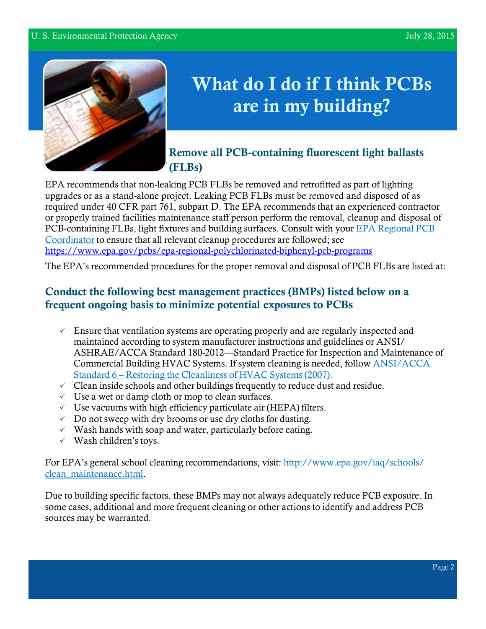

# **What do I do if I think PCBs are in my building?**

## **Remove all PCB-containing fluorescent light ballasts (FLBs)**

EPA recommends that non-leaking PCB FLBs be removed and retrofitted as part of lighting upgrades or as a stand-alone project. Leaking PCB FLBs must be removed and disposed of as required under 40 CFR part 761, subpart D. The EPA recommends that an experienced contractor or properly trained facilities maintenance staff person perform the removal, cleanup and disposal of PCB-containing FLBs, light fixtures and building surfaces. Consult with your EPA [Regional](https://www.epa.gov/pcbs/epa-regional-polychlorinated-biphenyl-pcb-programs) PCB [Coordinator](http://www.epa.gov/epawaste/hazard/tsd/pcbs/pubs/coordin.htm) to ensure that all relevant cleanup procedures are followed; see <https://www.epa.gov/pcbs/epa-regional-polychlorinated-biphenyl-pcb-programs>

The EPA's recommended procedures for the proper removal and disposal of PCB FLBs are listed at:

### **Conduct the following best management practices (BMPs) listed below on a frequent ongoing basis to minimize potential exposures to PCBs**

- $\checkmark$  Ensure that ventilation systems are operating properly and are regularly inspected and maintained according to system manufacturer instructions and guidelines or ANSI/ ASHRAE/ACCA Standard 180-2012—Standard Practice for Inspection and Maintenance of Commercial Building HVAC Systems. If system cleaning is needed, follow [ANSI/ACCA](http://www.acca.org/communities/community-home/librarydocuments/viewdocument?DocumentKey=b0d7da58-e516-4af6-bf03-0e474d27081d) Standard 6 – Restoring the [Cleanliness](http://www.acca.org/communities/community-home/librarydocuments/viewdocument?DocumentKey=b0d7da58-e516-4af6-bf03-0e474d27081d) of HVAC Systems (2007).
- $\checkmark$  Clean inside schools and other buildings frequently to reduce dust and residue.
- $\checkmark$  Use a wet or damp cloth or mop to clean surfaces.
- $\vee$  Use vacuums with high efficiency particulate air (HEPA) filters.
- $\vee$  Do not sweep with dry brooms or use dry cloths for dusting.
- $\checkmark$  Wash hands with soap and water, particularly before eating.
- $\checkmark$  Wash children's toys.

For EPA's general school cleaning recommendations, visit: [http://www.epa.gov/iaq/schools/](http://www.epa.gov/iaq/schools/clean_maintenance.html) [clean\\_maintenance.html.](http://www.epa.gov/iaq/schools/clean_maintenance.html)

Due to building specific factors, these BMPs may not always adequately reduce PCB exposure. In some cases, additional and more frequent cleaning or other actions to identify and address PCB sources may be warranted.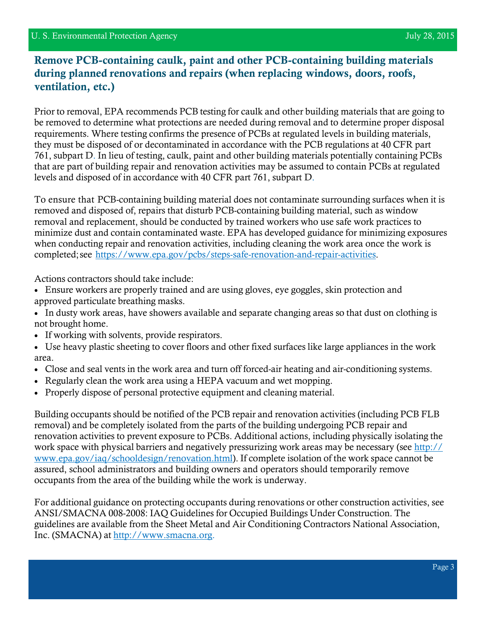#### **Remove PCB-containing caulk, paint and other PCB-containing building materials during planned renovations and repairs (when replacing windows, doors, roofs, ventilation, etc.)**

Prior to removal, EPA recommends PCB testing for caulk and other building materials that are going to be removed to determine what protections are needed during removal and to determine proper disposal requirements. Where testing confirms the presence of PCBs at regulated levels in building materials, they must be disposed of or decontaminated in accordance with the PCB regulations at 40 CFR part 761, subpart D. In lieu of testing, caulk, paint and other building materials potentially containing PCBs that are part of building repair and renovation activities may be assumed to contain PCBs at regulated levels and disposed of in accordance with 40 CFR part 761, subpart D.

To ensure that PCB-containing building material does not contaminate surrounding surfaces when it is removed and disposed of, repairs that disturb PCB-containing building material, such as window removal and replacement, should be conducted by trained workers who use safe work practices to minimize dust and contain contaminated waste. EPA has developed guidance for minimizing exposures when conducting repair and renovation activities, including cleaning the work area once the work is completed;see [https://www.epa.gov/pcbs/steps-safe-renovation-and-repair-activities.](https://www.epa.gov/pcbs/steps-safe-renovation-and-repair-activities)

Actions contractors should take include:

- Ensure workers are properly trained and are using gloves, eye goggles, skin protection and approved particulate breathing masks.
- In dusty work areas, have showers available and separate changing areas so that dust on clothing is not brought home.
- If working with solvents, provide respirators.
- Use heavy plastic sheeting to cover floors and other fixed surfaces like large appliances in the work area.
- Close and seal vents in the work area and turn off forced-air heating and air-conditioning systems.
- Regularly clean the work area using a HEPA vacuum and wet mopping.
- Properly dispose of personal protective equipment and cleaning material.

Building occupants should be notified of the PCB repair and renovation activities (including PCB FLB removal) and be completely isolated from the parts of the building undergoing PCB repair and renovation activities to prevent exposure to PCBs. Additional actions, including physically isolating the work space with physical barriers and negatively pressurizing work areas may be necessary (see [http://](http://www.epa.gov/iaq/schooldesign/renovation.html) [www.epa.gov/iaq/schooldesign/renovation.html\)](http://www.epa.gov/iaq/schooldesign/renovation.html). If complete isolation of the work space cannot be assured, school administrators and building owners and operators should temporarily remove occupants from the area of the building while the work is underway.

For additional guidance on protecting occupants during renovations or other construction activities, see ANSI/SMACNA 008-2008: IAQ Guidelines for Occupied Buildings Under Construction. The guidelines are available from the Sheet Metal and Air Conditioning Contractors National Association, Inc. (SMACNA) at [http://www.smacna.org.](http://www.smacna.org/)